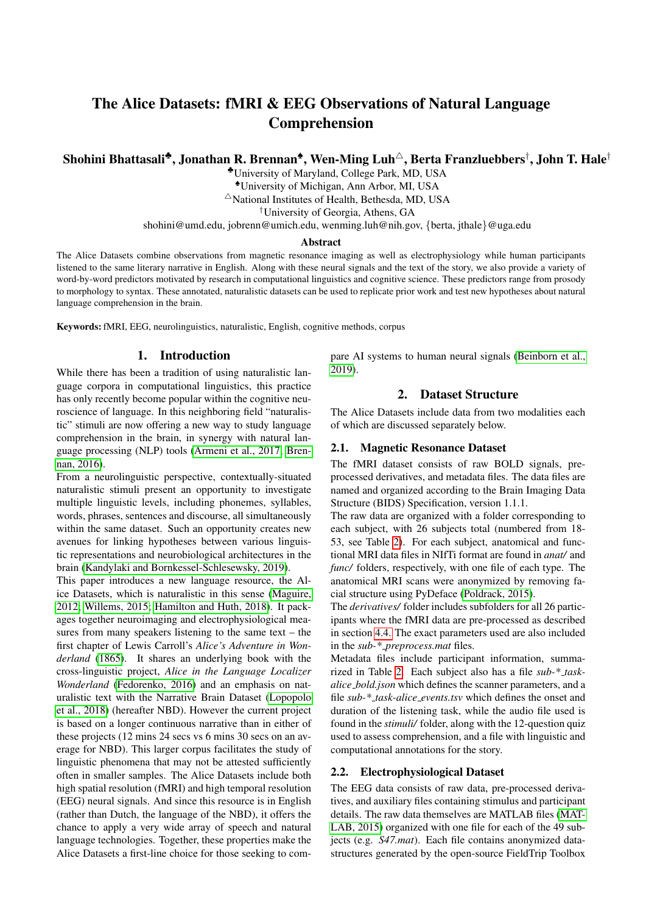# The Alice Datasets: fMRI & EEG Observations of Natural Language Comprehension

# Shohini Bhattasali\*, Jonathan R. Brennan\*, Wen-Ming Luh $^\vartriangle$ , Berta Franzluebbers $^\dagger$ , John T. Hale $^\dagger$

♣University of Maryland, College Park, MD, USA ♠University of Michigan, Ann Arbor, MI, USA

 $\triangle$ National Institutes of Health, Bethesda, MD, USA

†University of Georgia, Athens, GA

shohini@umd.edu, jobrenn@umich.edu, wenming.luh@nih.gov, {berta, jthale}@uga.edu

#### Abstract

The Alice Datasets combine observations from magnetic resonance imaging as well as electrophysiology while human participants listened to the same literary narrative in English. Along with these neural signals and the text of the story, we also provide a variety of word-by-word predictors motivated by research in computational linguistics and cognitive science. These predictors range from prosody to morphology to syntax. These annotated, naturalistic datasets can be used to replicate prior work and test new hypotheses about natural language comprehension in the brain.

Keywords: fMRI, EEG, neurolinguistics, naturalistic, English, cognitive methods, corpus

### 1. Introduction

While there has been a tradition of using naturalistic language corpora in computational linguistics, this practice has only recently become popular within the cognitive neuroscience of language. In this neighboring field "naturalistic" stimuli are now offering a new way to study language comprehension in the brain, in synergy with natural language processing (NLP) tools [\(Armeni et al., 2017;](#page-4-0) [Bren](#page-4-1)[nan, 2016\)](#page-4-1).

From a neurolinguistic perspective, contextually-situated naturalistic stimuli present an opportunity to investigate multiple linguistic levels, including phonemes, syllables, words, phrases, sentences and discourse, all simultaneously within the same dataset. Such an opportunity creates new avenues for linking hypotheses between various linguistic representations and neurobiological architectures in the brain [\(Kandylaki and Bornkessel-Schlesewsky, 2019\)](#page-5-0).

This paper introduces a new language resource, the Alice Datasets, which is naturalistic in this sense [\(Maguire,](#page-5-1) [2012;](#page-5-1) [Willems, 2015;](#page-5-2) [Hamilton and Huth, 2018\)](#page-5-3). It packages together neuroimaging and electrophysiological measures from many speakers listening to the same text – the first chapter of Lewis Carroll's *Alice's Adventure in Wonderland* [\(1865\)](#page-4-2). It shares an underlying book with the cross-linguistic project, *Alice in the Language Localizer Wonderland* [\(Fedorenko, 2016\)](#page-4-3) and an emphasis on naturalistic text with the Narrative Brain Dataset [\(Lopopolo](#page-5-4) [et al., 2018\)](#page-5-4) (hereafter NBD). However the current project is based on a longer continuous narrative than in either of these projects (12 mins 24 secs vs 6 mins 30 secs on an average for NBD). This larger corpus facilitates the study of linguistic phenomena that may not be attested sufficiently often in smaller samples. The Alice Datasets include both high spatial resolution (fMRI) and high temporal resolution (EEG) neural signals. And since this resource is in English (rather than Dutch, the language of the NBD), it offers the chance to apply a very wide array of speech and natural language technologies. Together, these properties make the Alice Datasets a first-line choice for those seeking to compare AI systems to human neural signals [\(Beinborn et al.,](#page-4-4) [2019\)](#page-4-4).

#### 2. Dataset Structure

The Alice Datasets include data from two modalities each of which are discussed separately below.

#### 2.1. Magnetic Resonance Dataset

The fMRI dataset consists of raw BOLD signals, preprocessed derivatives, and metadata files. The data files are named and organized according to the Brain Imaging Data Structure (BIDS) Specification, version 1.1.1.

The raw data are organized with a folder corresponding to each subject, with 26 subjects total (numbered from 18- 53, see Table [2\)](#page-4-5). For each subject, anatomical and functional MRI data files in NIfTi format are found in *anat/* and *func/* folders, respectively, with one file of each type. The anatomical MRI scans were anonymized by removing facial structure using PyDeface [\(Poldrack, 2015\)](#page-5-5).

The *derivatives/* folder includes subfolders for all 26 participants where the fMRI data are pre-processed as described in section [4.4.](#page-2-0) The exact parameters used are also included in the *sub-\* preprocess.mat* files.

Metadata files include participant information, summarized in Table [2.](#page-4-5) Each subject also has a file *sub-\* taskalice bold.json* which defines the scanner parameters, and a file *sub-\* task-alice events.tsv* which defines the onset and duration of the listening task, while the audio file used is found in the *stimuli/* folder, along with the 12-question quiz used to assess comprehension, and a file with linguistic and computational annotations for the story.

#### 2.2. Electrophysiological Dataset

The EEG data consists of raw data, pre-processed derivatives, and auxiliary files containing stimulus and participant details. The raw data themselves are MATLAB files [\(MAT-](#page-5-6)[LAB, 2015\)](#page-5-6) organized with one file for each of the 49 subjects (e.g. *S47.mat*). Each file contains anonymized datastructures generated by the open-source FieldTrip Toolbox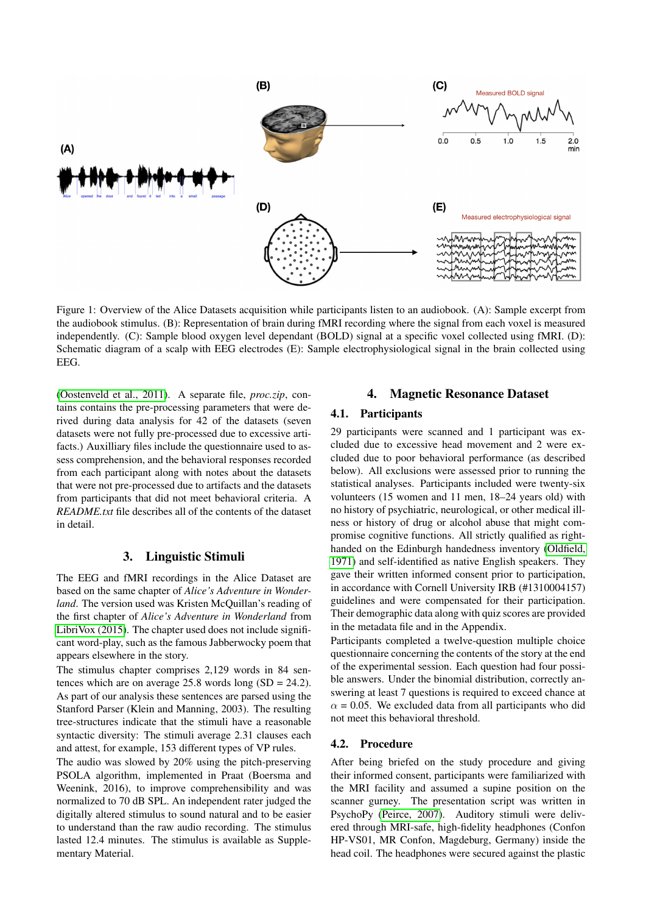

Figure 1: Overview of the Alice Datasets acquisition while participants listen to an audiobook. (A): Sample excerpt from the audiobook stimulus. (B): Representation of brain during fMRI recording where the signal from each voxel is measured independently. (C): Sample blood oxygen level dependant (BOLD) signal at a specific voxel collected using fMRI. (D): Schematic diagram of a scalp with EEG electrodes (E): Sample electrophysiological signal in the brain collected using EEG.

[\(Oostenveld et al., 2011\)](#page-5-7). A separate file, *proc.zip*, contains contains the pre-processing parameters that were derived during data analysis for 42 of the datasets (seven datasets were not fully pre-processed due to excessive artifacts.) Auxilliary files include the questionnaire used to assess comprehension, and the behavioral responses recorded from each participant along with notes about the datasets that were not pre-processed due to artifacts and the datasets from participants that did not meet behavioral criteria. A *README.txt* file describes all of the contents of the dataset in detail.

#### 3. Linguistic Stimuli

The EEG and fMRI recordings in the Alice Dataset are based on the same chapter of *Alice's Adventure in Wonderland*. The version used was Kristen McQuillan's reading of the first chapter of *Alice's Adventure in Wonderland* from [LibriVox \(2015\)](#page-5-8). The chapter used does not include significant word-play, such as the famous Jabberwocky poem that appears elsewhere in the story.

The stimulus chapter comprises 2,129 words in 84 sentences which are on average  $25.8$  words long (SD = 24.2). As part of our analysis these sentences are parsed using the Stanford Parser (Klein and Manning, 2003). The resulting tree-structures indicate that the stimuli have a reasonable syntactic diversity: The stimuli average 2.31 clauses each and attest, for example, 153 different types of VP rules.

The audio was slowed by 20% using the pitch-preserving PSOLA algorithm, implemented in Praat (Boersma and Weenink, 2016), to improve comprehensibility and was normalized to 70 dB SPL. An independent rater judged the digitally altered stimulus to sound natural and to be easier to understand than the raw audio recording. The stimulus lasted 12.4 minutes. The stimulus is available as Supplementary Material.

### 4. Magnetic Resonance Dataset

#### 4.1. Participants

29 participants were scanned and 1 participant was excluded due to excessive head movement and 2 were excluded due to poor behavioral performance (as described below). All exclusions were assessed prior to running the statistical analyses. Participants included were twenty-six volunteers (15 women and 11 men, 18–24 years old) with no history of psychiatric, neurological, or other medical illness or history of drug or alcohol abuse that might compromise cognitive functions. All strictly qualified as righthanded on the Edinburgh handedness inventory [\(Oldfield,](#page-5-9) [1971\)](#page-5-9) and self-identified as native English speakers. They gave their written informed consent prior to participation, in accordance with Cornell University IRB (#1310004157) guidelines and were compensated for their participation. Their demographic data along with quiz scores are provided in the metadata file and in the Appendix.

Participants completed a twelve-question multiple choice questionnaire concerning the contents of the story at the end of the experimental session. Each question had four possible answers. Under the binomial distribution, correctly answering at least 7 questions is required to exceed chance at  $\alpha$  = 0.05. We excluded data from all participants who did not meet this behavioral threshold.

### 4.2. Procedure

After being briefed on the study procedure and giving their informed consent, participants were familiarized with the MRI facility and assumed a supine position on the scanner gurney. The presentation script was written in PsychoPy [\(Peirce, 2007\)](#page-5-10). Auditory stimuli were delivered through MRI-safe, high-fidelity headphones (Confon HP-VS01, MR Confon, Magdeburg, Germany) inside the head coil. The headphones were secured against the plastic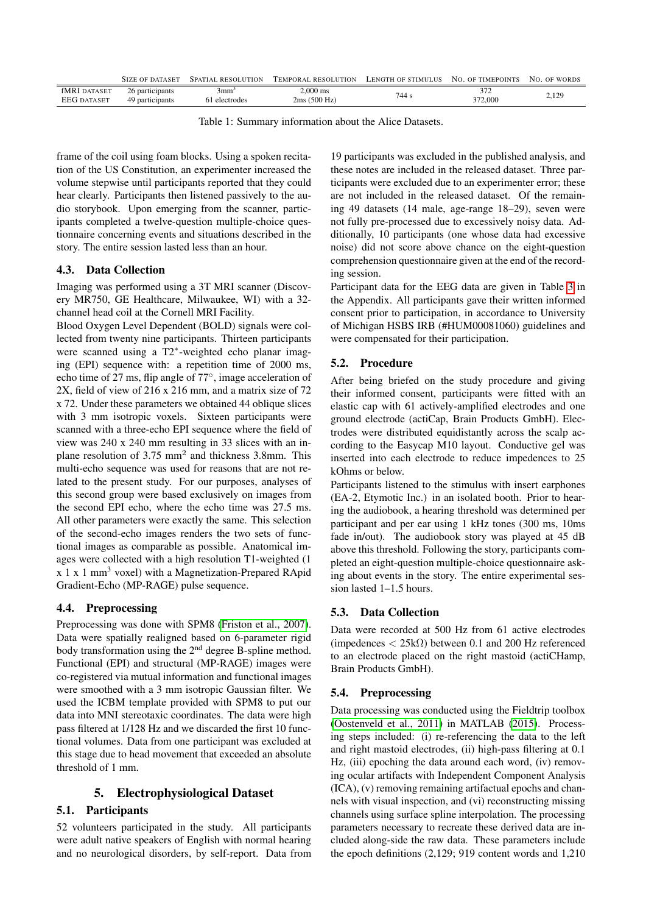|                                           | SIZE OF DATASET                    | SPATIAL RESOLIITION               | TEMPORAL RESOLUTION     | LENGTH OF STIMULUS NO. OF TIMEPOINTS |               | NO. OF WORDS |
|-------------------------------------------|------------------------------------|-----------------------------------|-------------------------|--------------------------------------|---------------|--------------|
| <b>fMRI</b> DATASET<br><b>EEG DATASET</b> | 26 participants<br>49 participants | 3mm <sup>3</sup><br>61 electrodes | 2.000 ms<br>2ms(500 Hz) | 744 s                                | 27<br>372,000 | 2,129        |

Table 1: Summary information about the Alice Datasets.

frame of the coil using foam blocks. Using a spoken recitation of the US Constitution, an experimenter increased the volume stepwise until participants reported that they could hear clearly. Participants then listened passively to the audio storybook. Upon emerging from the scanner, participants completed a twelve-question multiple-choice questionnaire concerning events and situations described in the story. The entire session lasted less than an hour.

### 4.3. Data Collection

Imaging was performed using a 3T MRI scanner (Discovery MR750, GE Healthcare, Milwaukee, WI) with a 32 channel head coil at the Cornell MRI Facility.

Blood Oxygen Level Dependent (BOLD) signals were collected from twenty nine participants. Thirteen participants were scanned using a T2<sup>∗</sup> -weighted echo planar imaging (EPI) sequence with: a repetition time of 2000 ms, echo time of 27 ms, flip angle of 77◦ , image acceleration of 2X, field of view of 216 x 216 mm, and a matrix size of 72 x 72. Under these parameters we obtained 44 oblique slices with 3 mm isotropic voxels. Sixteen participants were scanned with a three-echo EPI sequence where the field of view was 240 x 240 mm resulting in 33 slices with an inplane resolution of 3.75 mm<sup>2</sup> and thickness 3.8mm. This multi-echo sequence was used for reasons that are not related to the present study. For our purposes, analyses of this second group were based exclusively on images from the second EPI echo, where the echo time was 27.5 ms. All other parameters were exactly the same. This selection of the second-echo images renders the two sets of functional images as comparable as possible. Anatomical images were collected with a high resolution T1-weighted (1  $x \, 1 \, x \, 1 \, \text{mm}^3$  voxel) with a Magnetization-Prepared RApid Gradient-Echo (MP-RAGE) pulse sequence.

### <span id="page-2-0"></span>4.4. Preprocessing

Preprocessing was done with SPM8 [\(Friston et al., 2007\)](#page-4-6). Data were spatially realigned based on 6-parameter rigid body transformation using the 2<sup>nd</sup> degree B-spline method. Functional (EPI) and structural (MP-RAGE) images were co-registered via mutual information and functional images were smoothed with a 3 mm isotropic Gaussian filter. We used the ICBM template provided with SPM8 to put our data into MNI stereotaxic coordinates. The data were high pass filtered at 1/128 Hz and we discarded the first 10 functional volumes. Data from one participant was excluded at this stage due to head movement that exceeded an absolute threshold of 1 mm.

### 5. Electrophysiological Dataset

### 5.1. Participants

52 volunteers participated in the study. All participants were adult native speakers of English with normal hearing and no neurological disorders, by self-report. Data from

19 participants was excluded in the published analysis, and these notes are included in the released dataset. Three participants were excluded due to an experimenter error; these are not included in the released dataset. Of the remaining 49 datasets (14 male, age-range 18–29), seven were not fully pre-processed due to excessively noisy data. Additionally, 10 participants (one whose data had excessive noise) did not score above chance on the eight-question comprehension questionnaire given at the end of the recording session.

Participant data for the EEG data are given in Table [3](#page-4-7) in the Appendix. All participants gave their written informed consent prior to participation, in accordance to University of Michigan HSBS IRB (#HUM00081060) guidelines and were compensated for their participation.

### 5.2. Procedure

After being briefed on the study procedure and giving their informed consent, participants were fitted with an elastic cap with 61 actively-amplified electrodes and one ground electrode (actiCap, Brain Products GmbH). Electrodes were distributed equidistantly across the scalp according to the Easycap M10 layout. Conductive gel was inserted into each electrode to reduce impedences to 25 kOhms or below.

Participants listened to the stimulus with insert earphones (EA-2, Etymotic Inc.) in an isolated booth. Prior to hearing the audiobook, a hearing threshold was determined per participant and per ear using 1 kHz tones (300 ms, 10ms fade in/out). The audiobook story was played at 45 dB above this threshold. Following the story, participants completed an eight-question multiple-choice questionnaire asking about events in the story. The entire experimental session lasted 1–1.5 hours.

### 5.3. Data Collection

Data were recorded at 500 Hz from 61 active electrodes (impedences  $\langle 25k\Omega \rangle$ ) between 0.1 and 200 Hz referenced to an electrode placed on the right mastoid (actiCHamp, Brain Products GmbH).

### 5.4. Preprocessing

Data processing was conducted using the Fieldtrip toolbox [\(Oostenveld et al., 2011\)](#page-5-7) in MATLAB [\(2015\)](#page-5-6). Processing steps included: (i) re-referencing the data to the left and right mastoid electrodes, (ii) high-pass filtering at 0.1 Hz, (iii) epoching the data around each word, (iv) removing ocular artifacts with Independent Component Analysis (ICA), (v) removing remaining artifactual epochs and channels with visual inspection, and (vi) reconstructing missing channels using surface spline interpolation. The processing parameters necessary to recreate these derived data are included along-side the raw data. These parameters include the epoch definitions (2,129; 919 content words and 1,210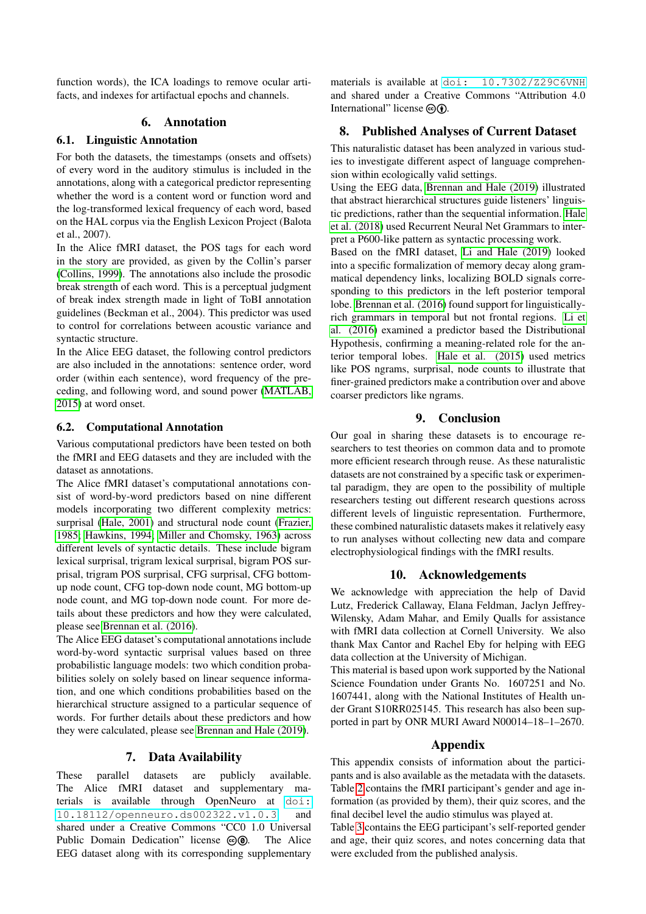function words), the ICA loadings to remove ocular artifacts, and indexes for artifactual epochs and channels.

### 6. Annotation

### 6.1. Linguistic Annotation

For both the datasets, the timestamps (onsets and offsets) of every word in the auditory stimulus is included in the annotations, along with a categorical predictor representing whether the word is a content word or function word and the log-transformed lexical frequency of each word, based on the HAL corpus via the English Lexicon Project (Balota et al., 2007).

In the Alice fMRI dataset, the POS tags for each word in the story are provided, as given by the Collin's parser [\(Collins, 1999\)](#page-4-8). The annotations also include the prosodic break strength of each word. This is a perceptual judgment of break index strength made in light of ToBI annotation guidelines (Beckman et al., 2004). This predictor was used to control for correlations between acoustic variance and syntactic structure.

In the Alice EEG dataset, the following control predictors are also included in the annotations: sentence order, word order (within each sentence), word frequency of the preceding, and following word, and sound power [\(MATLAB,](#page-5-6) [2015\)](#page-5-6) at word onset.

### 6.2. Computational Annotation

Various computational predictors have been tested on both the fMRI and EEG datasets and they are included with the dataset as annotations.

The Alice fMRI dataset's computational annotations consist of word-by-word predictors based on nine different models incorporating two different complexity metrics: surprisal [\(Hale, 2001\)](#page-5-11) and structural node count [\(Frazier,](#page-4-9) [1985;](#page-4-9) [Hawkins, 1994;](#page-5-12) [Miller and Chomsky, 1963\)](#page-5-13) across different levels of syntactic details. These include bigram lexical surprisal, trigram lexical surprisal, bigram POS surprisal, trigram POS surprisal, CFG surprisal, CFG bottomup node count, CFG top-down node count, MG bottom-up node count, and MG top-down node count. For more details about these predictors and how they were calculated, please see [Brennan et al. \(2016\)](#page-4-10).

The Alice EEG dataset's computational annotations include word-by-word syntactic surprisal values based on three probabilistic language models: two which condition probabilities solely on solely based on linear sequence information, and one which conditions probabilities based on the hierarchical structure assigned to a particular sequence of words. For further details about these predictors and how they were calculated, please see [Brennan and Hale \(2019\)](#page-4-11).

### 7. Data Availability

These parallel datasets are publicly available. The Alice fMRI dataset and supplementary materials is available through OpenNeuro at [doi:](https://openneuro.org/datasets/ds002322/) [10.18112/openneuro.ds002322.v1.0.3](https://openneuro.org/datasets/ds002322/) and shared under a Creative Commons "CC0 1.0 Universal Public Domain Dedication" license @ . The Alice EEG dataset along with its corresponding supplementary

materials is available at [doi: 10.7302/Z29C6VNH](https://deepblue.lib.umich.edu/data/concern/data_sets/bg257f92t) and shared under a Creative Commons "Attribution 4.0 International" license  $\textcircled{a}$ 

## 8. Published Analyses of Current Dataset

This naturalistic dataset has been analyzed in various studies to investigate different aspect of language comprehension within ecologically valid settings.

Using the EEG data, [Brennan and Hale \(2019\)](#page-4-11) illustrated that abstract hierarchical structures guide listeners' linguistic predictions, rather than the sequential information. [Hale](#page-4-12) [et al. \(2018\)](#page-4-12) used Recurrent Neural Net Grammars to interpret a P600-like pattern as syntactic processing work.

Based on the fMRI dataset, [Li and Hale \(2019\)](#page-5-14) looked into a specific formalization of memory decay along grammatical dependency links, localizing BOLD signals corresponding to this predictors in the left posterior temporal lobe. [Brennan et al. \(2016\)](#page-4-10) found support for linguisticallyrich grammars in temporal but not frontal regions. [Li et](#page-5-15) [al. \(2016\)](#page-5-15) examined a predictor based the Distributional Hypothesis, confirming a meaning-related role for the anterior temporal lobes. [Hale et al. \(2015\)](#page-4-13) used metrics like POS ngrams, surprisal, node counts to illustrate that finer-grained predictors make a contribution over and above coarser predictors like ngrams.

## 9. Conclusion

Our goal in sharing these datasets is to encourage researchers to test theories on common data and to promote more efficient research through reuse. As these naturalistic datasets are not constrained by a specific task or experimental paradigm, they are open to the possibility of multiple researchers testing out different research questions across different levels of linguistic representation. Furthermore, these combined naturalistic datasets makes it relatively easy to run analyses without collecting new data and compare electrophysiological findings with the fMRI results.

### 10. Acknowledgements

We acknowledge with appreciation the help of David Lutz, Frederick Callaway, Elana Feldman, Jaclyn Jeffrey-Wilensky, Adam Mahar, and Emily Qualls for assistance with fMRI data collection at Cornell University. We also thank Max Cantor and Rachel Eby for helping with EEG data collection at the University of Michigan.

This material is based upon work supported by the National Science Foundation under Grants No. 1607251 and No. 1607441, along with the National Institutes of Health under Grant S10RR025145. This research has also been supported in part by ONR MURI Award N00014–18–1–2670.

### Appendix

This appendix consists of information about the participants and is also available as the metadata with the datasets. Table [2](#page-4-5) contains the fMRI participant's gender and age information (as provided by them), their quiz scores, and the final decibel level the audio stimulus was played at.

Table [3](#page-4-7) contains the EEG participant's self-reported gender and age, their quiz scores, and notes concerning data that were excluded from the published analysis.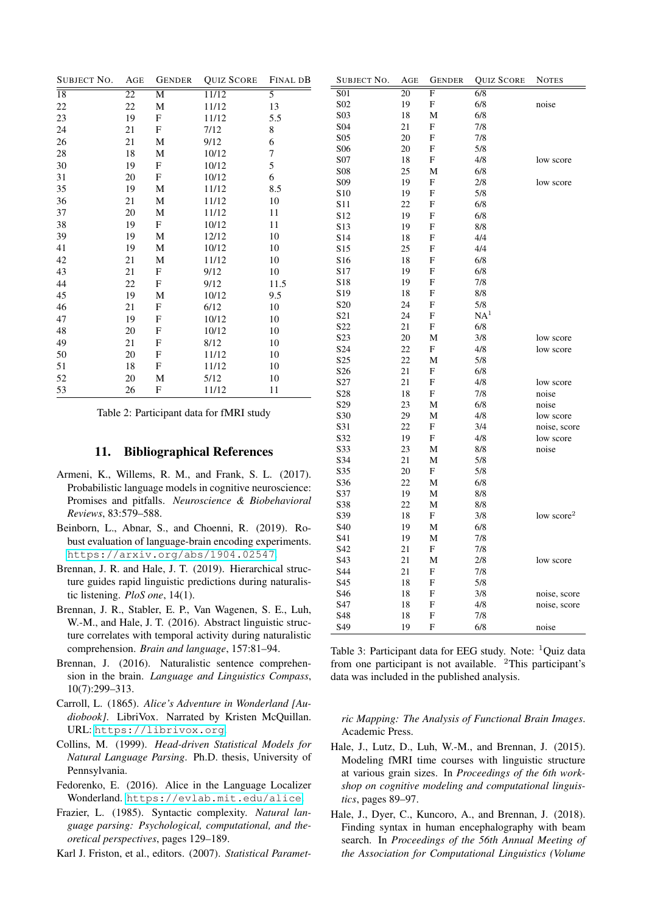| <b>SUBJECT NO.</b> | AGE | <b>GENDER</b>             | <b>QUIZ SCORE</b> | FINAL DB       | SUBJECT NO.            | AGE             | <b>GENDER</b>             | <b>QUIZ SCORE</b> | <b>NOTES</b> |
|--------------------|-----|---------------------------|-------------------|----------------|------------------------|-----------------|---------------------------|-------------------|--------------|
| $\overline{18}$    | 22  | M                         | 11/12             | $\overline{5}$ | $\overline{S01}$       | $\overline{20}$ | $\overline{F}$            | 6/8               |              |
| 22                 | 22  | M                         | 11/12             | 13             | S <sub>02</sub>        | 19              | $\mathbf F$               | $6/8$             | noise        |
| 23                 | 19  | $\mathbf F$               | 11/12             | 5.5            | S <sub>0</sub> 3       | 18              | M                         | 6/8               |              |
| 24                 | 21  | $\mathbf F$               | 7/12              | 8              | S <sub>04</sub>        | 21              | $\mathbf{F}$              | 7/8               |              |
| 26                 | 21  | M                         | 9/12              | 6              | S <sub>05</sub>        | 20              | $_{\rm F}$                | 7/8               |              |
| 28                 | 18  | M                         | 10/12             | 7              | S <sub>06</sub>        | 20              | $\mathbf F$               | 5/8               |              |
| 30                 | 19  | $\mathbf F$               | 10/12             | 5              | S07                    | 18              | $\mathbf F$               | 4/8               | low score    |
| 31                 | 20  | $\mathbf F$               | 10/12             | 6              | <b>S08</b>             | 25              | M                         | 6/8               |              |
| 35                 | 19  | M                         | 11/12             | 8.5            | S <sub>09</sub>        | 19              | $\boldsymbol{\mathrm{F}}$ | 2/8               | low score    |
| 36                 | 21  | M                         | 11/12             | 10             | S10                    | 19              | $\boldsymbol{\mathrm{F}}$ | 5/8               |              |
| 37                 | 20  | M                         | 11/12             | 11             | S11                    | 22              | $\mathbf F$               | 6/8               |              |
| 38                 | 19  | $\mathbf{F}$              | 10/12             | 11             | S12<br>S <sub>13</sub> | 19<br>19        | $\mathbf F$<br>F          | $6/8$             |              |
| 39                 | 19  | M                         | 12/12             | 10             | S14                    | 18              | $\mathbf{F}$              | $8/8$<br>4/4      |              |
| 41                 | 19  | $\mathbf M$               | 10/12             | 10             | S15                    | 25              | $\mathbf F$               | 4/4               |              |
| 42                 | 21  | M                         | 11/12             | 10             | S <sub>16</sub>        | 18              | $\mathbf{F}$              | 6/8               |              |
| 43                 | 21  | $\mathbf F$               | 9/12              | 10             | S17                    | 19              | $\mathbf{F}$              | 6/8               |              |
| 44                 | 22  | $\boldsymbol{\mathrm{F}}$ | 9/12              | 11.5           | S <sub>18</sub>        | 19              | $\mathbf{F}$              | 7/8               |              |
|                    | 19  | M                         | 10/12             | 9.5            | S <sub>19</sub>        | 18              | F                         | $8/8$             |              |
| 45                 | 21  | $\mathbf{F}$              |                   |                | S <sub>20</sub>        | 24              | $\mathbf F$               | 5/8               |              |
| 46<br>47           | 19  | $\boldsymbol{\mathrm{F}}$ | 6/12              | 10<br>10       | S <sub>21</sub>        | 24              | $\mathbf F$               | NA <sup>1</sup>   |              |
|                    | 20  |                           | 10/12             |                | S22                    | 21              | F                         | $6/8$             |              |
| 48                 |     | $\mathbf F$               | 10/12             | 10             | S23                    | 20              | M                         | 3/8               | low score    |
| 49                 | 21  | $\boldsymbol{\mathrm{F}}$ | 8/12              | 10             | S <sub>24</sub>        | 22              | $_{\rm F}$                | 4/8               | low score    |
| 50                 | 20  | $\mathbf F$               | 11/12             | 10             | S <sub>25</sub>        | 22              | M                         | 5/8               |              |
| 51                 | 18  | $\mathbf F$               | 11/12             | 10             | S <sub>26</sub>        | 21              | $\mathbf F$               | 6/8               |              |
| 52                 | 20  | M                         | 5/12              | 10             | S27                    | 21              | $\mathbf{F}$              | $4/8$             | low score    |
| 53                 | 26  | F                         | 11/12             | 11             | S28                    | 18              | $\mathbf F$               | 7/8               | noise        |
|                    |     |                           |                   |                | S29                    | 23              | M                         | 6/8               | noise        |

<span id="page-4-5"></span>Table 2: Participant data for fMRI study

#### 11. Bibliographical References

- <span id="page-4-0"></span>Armeni, K., Willems, R. M., and Frank, S. L. (2017). Probabilistic language models in cognitive neuroscience: Promises and pitfalls. *Neuroscience & Biobehavioral Reviews*, 83:579–588.
- <span id="page-4-4"></span>Beinborn, L., Abnar, S., and Choenni, R. (2019). Robust evaluation of language-brain encoding experiments. <https://arxiv.org/abs/1904.02547>.
- <span id="page-4-11"></span>Brennan, J. R. and Hale, J. T. (2019). Hierarchical structure guides rapid linguistic predictions during naturalistic listening. *PloS one*, 14(1).
- <span id="page-4-10"></span>Brennan, J. R., Stabler, E. P., Van Wagenen, S. E., Luh, W.-M., and Hale, J. T. (2016). Abstract linguistic structure correlates with temporal activity during naturalistic comprehension. *Brain and language*, 157:81–94.
- <span id="page-4-1"></span>Brennan, J. (2016). Naturalistic sentence comprehension in the brain. *Language and Linguistics Compass*, 10(7):299–313.
- <span id="page-4-2"></span>Carroll, L. (1865). *Alice's Adventure in Wonderland [Audiobook]*. LibriVox. Narrated by Kristen McQuillan. URL: [https://librivox.org](https://librivox.org/alices-adventures-in-wonderland-by-lewis-carroll/).
- <span id="page-4-8"></span>Collins, M. (1999). *Head-driven Statistical Models for Natural Language Parsing*. Ph.D. thesis, University of Pennsylvania.
- <span id="page-4-3"></span>Fedorenko, E. (2016). Alice in the Language Localizer Wonderland. <https://evlab.mit.edu/alice>.
- <span id="page-4-9"></span>Frazier, L. (1985). Syntactic complexity. *Natural language parsing: Psychological, computational, and theoretical perspectives*, pages 129–189.

<span id="page-4-6"></span>Karl J. Friston, et al., editors. (2007). *Statistical Paramet-*

S34 21 M 5/8 S35 20 F 5/8 S36 22 M 6/8 S37 19 M 8/8 S38 22 M 8/8 S39 18 F 3/8 low score<sup>2</sup><br>S40 19 M 6/8 S40 19 M 6/8 S41 19 M 7/8 S42 21 F 7/8 S43 21 M 2/8 low score S44 21 F 7/8 S45 18 F 5/8 S46 18 F 3/8 noise, score<br>S47 18 F 4/8 noise score S47 18 F 4/8 noise, score<br>S48 18 F 7/8 S48 18 F 7/8 S49 19 F 6/8 noise Table 3: Participant data for EEG study. Note:  ${}^{1}$ Quiz data

S30 29 M 4/8 low score<br>
S31 22 F 3/4 noise, sco

S32 19 F 4/8 low score<br>
S33 23 M 8/8 noise S33 23 M 8/8 noise

noise, score

<span id="page-4-7"></span>from one participant is not available. <sup>2</sup>This participant's data was included in the published analysis.

*ric Mapping: The Analysis of Functional Brain Images*. Academic Press.

- <span id="page-4-13"></span>Hale, J., Lutz, D., Luh, W.-M., and Brennan, J. (2015). Modeling fMRI time courses with linguistic structure at various grain sizes. In *Proceedings of the 6th workshop on cognitive modeling and computational linguistics*, pages 89–97.
- <span id="page-4-12"></span>Hale, J., Dyer, C., Kuncoro, A., and Brennan, J. (2018). Finding syntax in human encephalography with beam search. In *Proceedings of the 56th Annual Meeting of the Association for Computational Linguistics (Volume*